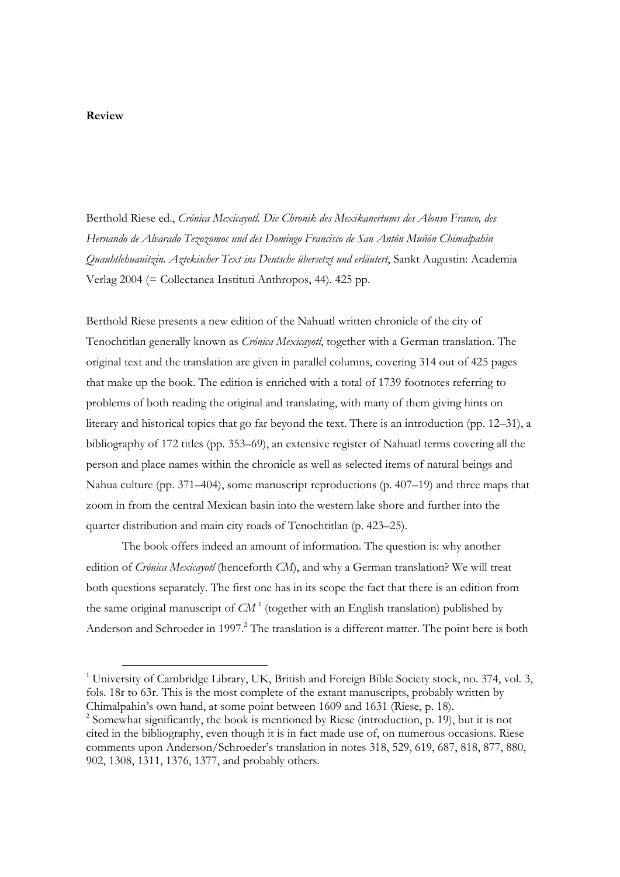Berthold Riese ed., *Crónica Mexicayotl. Die Chronik des Mexikanertums des Alonso Franco, des Hernando de Alvarado Tezozomoc und des Domingo Francisco de San Antón Muñón Chimalpahin Quauhtlehuanitzin. Aztekischer Text ins Deutsche übersetzt und erläutert*, Sankt Augustin: Academia Verlag 2004 (= Collectanea Instituti Anthropos, 44). 425 pp.

Berthold Riese presents a new edition of the Nahuatl written chronicle of the city of Tenochtitlan generally known as *Crónica Mexicayotl*, together with a German translation. The original text and the translation are given in parallel columns, covering 314 out of 425 pages that make up the book. The edition is enriched with a total of 1739 footnotes referring to problems of both reading the original and translating, with many of them giving hints on literary and historical topics that go far beyond the text. There is an introduction (pp. 12–31), a bibliography of 172 titles (pp. 353–69), an extensive register of Nahuatl terms covering all the person and place names within the chronicle as well as selected items of natural beings and Nahua culture (pp. 371–404), some manuscript reproductions (p. 407–19) and three maps that zoom in from the central Mexican basin into the western lake shore and further into the quarter distribution and main city roads of Tenochtitlan (p. 423–25).

 The book offers indeed an amount of information. The question is: why another edition of *Crónica Mexicayotl* (henceforth *CM*), and why a German translation? We will treat both questions separately. The first one has in its scope the fact that there is an edition from the same original manuscript of  $CM<sup>1</sup>$  (together with an English translation) published by Anderson and Schroeder in 1997.<sup>2</sup> The translation is a different matter. The point here is both

 <sup>1</sup> University of Cambridge Library, UK, British and Foreign Bible Society stock, no. 374, vol. 3, fols. 18r to 63r. This is the most complete of the extant manuscripts, probably written by Chimalpahin's own hand, at some point between 1609 and 1631 (Riese, p. 18).

<sup>&</sup>lt;sup>2</sup> Somewhat significantly, the book is mentioned by Riese (introduction, p. 19), but it is not cited in the bibliography, even though it is in fact made use of, on numerous occasions. Riese comments upon Anderson/Schroeder's translation in notes 318, 529, 619, 687, 818, 877, 880, 902, 1308, 1311, 1376, 1377, and probably others.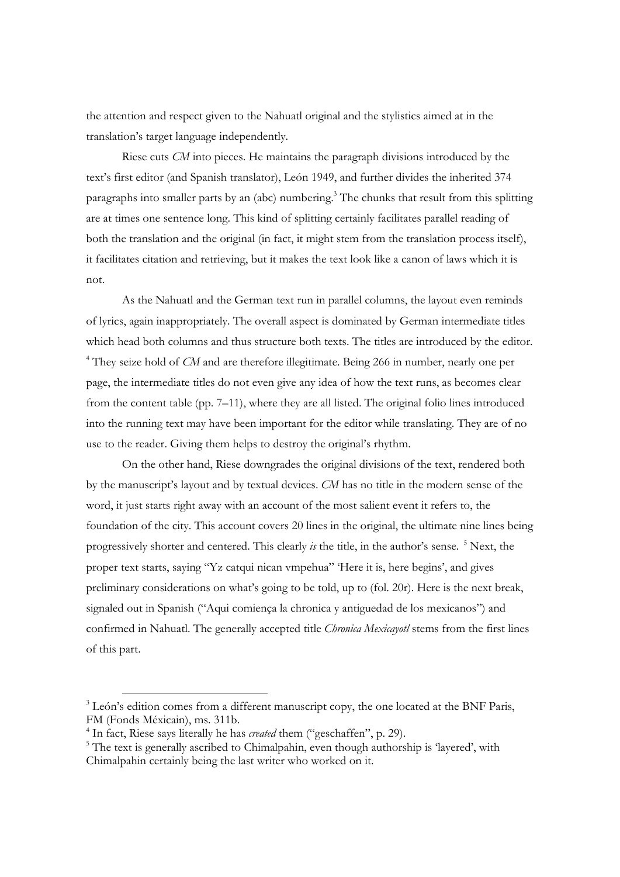the attention and respect given to the Nahuatl original and the stylistics aimed at in the translation's target language independently.

Riese cuts *CM* into pieces. He maintains the paragraph divisions introduced by the text's first editor (and Spanish translator), León 1949, and further divides the inherited 374 paragraphs into smaller parts by an (abc) numbering.<sup>3</sup> The chunks that result from this splitting are at times one sentence long. This kind of splitting certainly facilitates parallel reading of both the translation and the original (in fact, it might stem from the translation process itself), it facilitates citation and retrieving, but it makes the text look like a canon of laws which it is not.

As the Nahuatl and the German text run in parallel columns, the layout even reminds of lyrics, again inappropriately. The overall aspect is dominated by German intermediate titles which head both columns and thus structure both texts. The titles are introduced by the editor. <sup>4</sup> They seize hold of *CM* and are therefore illegitimate. Being 266 in number, nearly one per page, the intermediate titles do not even give any idea of how the text runs, as becomes clear from the content table (pp. 7–11), where they are all listed. The original folio lines introduced into the running text may have been important for the editor while translating. They are of no use to the reader. Giving them helps to destroy the original's rhythm.

On the other hand, Riese downgrades the original divisions of the text, rendered both by the manuscript's layout and by textual devices. *CM* has no title in the modern sense of the word, it just starts right away with an account of the most salient event it refers to, the foundation of the city. This account covers 20 lines in the original, the ultimate nine lines being progressively shorter and centered. This clearly *is* the title, in the author's sense. <sup>5</sup> Next, the proper text starts, saying "Yz catqui nican vmpehua" 'Here it is, here begins', and gives preliminary considerations on what's going to be told, up to (fol. 20r). Here is the next break, signaled out in Spanish ("Aqui comiença la chronica y antiguedad de los mexicanos") and confirmed in Nahuatl. The generally accepted title *Chronica Mexicayotl* stems from the first lines of this part.

<sup>&</sup>lt;sup>3</sup> León's edition comes from a different manuscript copy, the one located at the BNF Paris, FM (Fonds Méxicain), ms. 311b.

<sup>&</sup>lt;sup>4</sup> In fact, Riese says literally he has *created* them ("geschaffen", p. 29).

<sup>&</sup>lt;sup>5</sup> The text is generally ascribed to Chimalpahin, even though authorship is 'layered', with Chimalpahin certainly being the last writer who worked on it.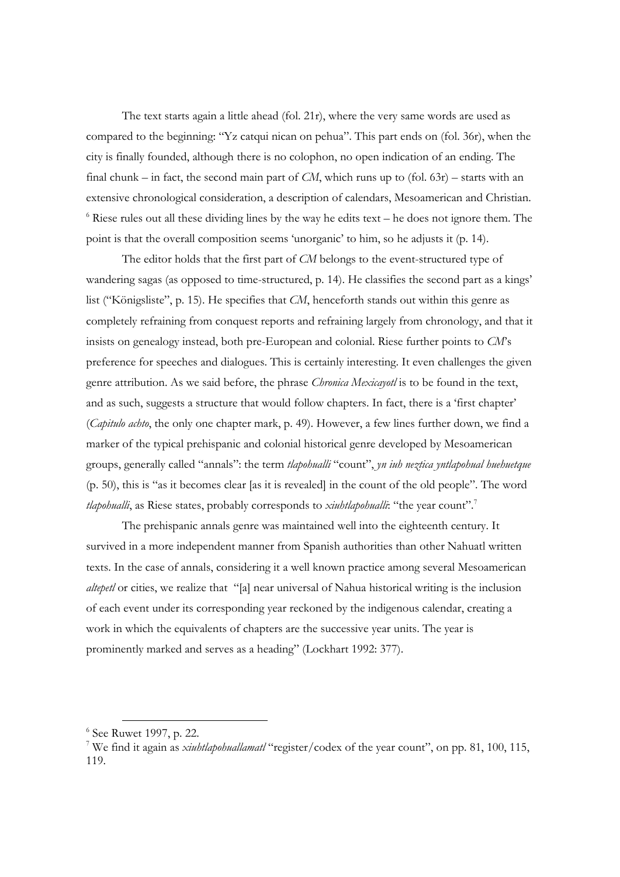The text starts again a little ahead (fol. 21r), where the very same words are used as compared to the beginning: "Yz catqui nican on pehua". This part ends on (fol. 36r), when the city is finally founded, although there is no colophon, no open indication of an ending. The final chunk – in fact, the second main part of *CM*, which runs up to (fol. 63r) – starts with an extensive chronological consideration, a description of calendars, Mesoamerican and Christian. <sup>6</sup> Riese rules out all these dividing lines by the way he edits text – he does not ignore them. The point is that the overall composition seems 'unorganic' to him, so he adjusts it (p. 14).

The editor holds that the first part of *CM* belongs to the event-structured type of wandering sagas (as opposed to time-structured, p. 14). He classifies the second part as a kings' list ("Königsliste", p. 15). He specifies that *CM*, henceforth stands out within this genre as completely refraining from conquest reports and refraining largely from chronology, and that it insists on genealogy instead, both pre-European and colonial. Riese further points to *CM*'s preference for speeches and dialogues. This is certainly interesting. It even challenges the given genre attribution. As we said before, the phrase *Chronica Mexicayotl* is to be found in the text, and as such, suggests a structure that would follow chapters. In fact, there is a 'first chapter' (*Capitulo achto*, the only one chapter mark, p. 49). However, a few lines further down, we find a marker of the typical prehispanic and colonial historical genre developed by Mesoamerican groups, generally called "annals": the term *tlapohualli* "count", *yn iuh neztica yntlapohual huehuetque* (p. 50), this is "as it becomes clear [as it is revealed] in the count of the old people". The word tlapohualli, as Riese states, probably corresponds to *xiuhtlapohualli*: "the year count".<sup>7</sup>

The prehispanic annals genre was maintained well into the eighteenth century. It survived in a more independent manner from Spanish authorities than other Nahuatl written texts. In the case of annals, considering it a well known practice among several Mesoamerican *altepetl* or cities, we realize that "[a] near universal of Nahua historical writing is the inclusion of each event under its corresponding year reckoned by the indigenous calendar, creating a work in which the equivalents of chapters are the successive year units. The year is prominently marked and serves as a heading" (Lockhart 1992: 377).

 <sup>6</sup> See Ruwet 1997, p. 22.

<sup>7</sup> We find it again as *xiuhtlapohuallamatl* "register/codex of the year count", on pp. 81, 100, 115, 119.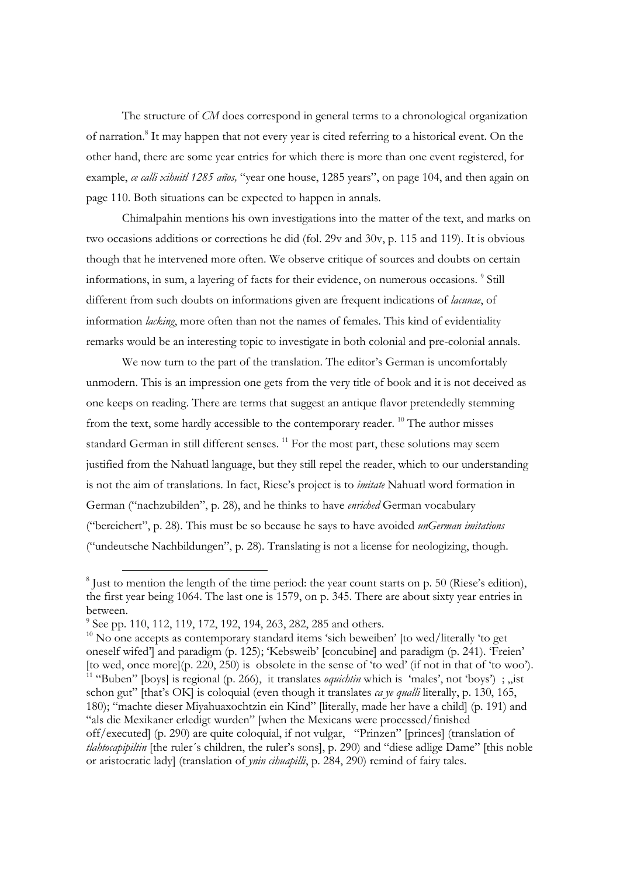The structure of *CM* does correspond in general terms to a chronological organization of narration.<sup>8</sup> It may happen that not every year is cited referring to a historical event. On the other hand, there are some year entries for which there is more than one event registered, for example, *ce calli xihuitl 1285 años,* "year one house, 1285 years", on page 104, and then again on page 110. Both situations can be expected to happen in annals.

Chimalpahin mentions his own investigations into the matter of the text, and marks on two occasions additions or corrections he did (fol. 29v and 30v, p. 115 and 119). It is obvious though that he intervened more often. We observe critique of sources and doubts on certain informations, in sum, a layering of facts for their evidence, on numerous occasions. <sup>9</sup> Still different from such doubts on informations given are frequent indications of *lacunae*, of information *lacking*, more often than not the names of females. This kind of evidentiality remarks would be an interesting topic to investigate in both colonial and pre-colonial annals.

We now turn to the part of the translation. The editor's German is uncomfortably unmodern. This is an impression one gets from the very title of book and it is not deceived as one keeps on reading. There are terms that suggest an antique flavor pretendedly stemming from the text, some hardly accessible to the contemporary reader. <sup>10</sup> The author misses standard German in still different senses.<sup>11</sup> For the most part, these solutions may seem justified from the Nahuatl language, but they still repel the reader, which to our understanding is not the aim of translations. In fact, Riese's project is to *imitate* Nahuatl word formation in German ("nachzubilden", p. 28), and he thinks to have *enriched* German vocabulary ("bereichert", p. 28). This must be so because he says to have avoided *unGerman imitations* ("undeutsche Nachbildungen", p. 28). Translating is not a license for neologizing, though.

<sup>&</sup>lt;sup>8</sup> Just to mention the length of the time period: the year count starts on p. 50 (Riese's edition), the first year being 1064. The last one is 1579, on p. 345. There are about sixty year entries in between.

<sup>&</sup>lt;sup>9</sup> See pp. 110, 112, 119, 172, 192, 194, 263, 282, 285 and others.

 $10$  No one accepts as contemporary standard items 'sich beweiben' [to wed/literally 'to get oneself wifed'] and paradigm (p. 125); 'Kebsweib' [concubine] and paradigm (p. 241). 'Freien' [to wed, once more](p. 220, 250) is obsolete in the sense of 'to wed' (if not in that of 'to woo'). <sup>11</sup> "Buben" [boys] is regional (p. 266), it translates *oquichtin* which is 'males', not 'boys'); , ist schon gut" [that's OK] is coloquial (even though it translates *ca ye qualli* literally, p. 130, 165, 180); "machte dieser Miyahuaxochtzin ein Kind" [literally, made her have a child] (p. 191) and "als die Mexikaner erledigt wurden" [when the Mexicans were processed/finished off/executed] (p. 290) are quite coloquial, if not vulgar, "Prinzen" [princes] (translation of *tlahtocapipiltin* [the ruler´s children, the ruler's sons], p. 290) and "diese adlige Dame" [this noble or aristocratic lady] (translation of *ynin cihuapilli*, p. 284, 290) remind of fairy tales.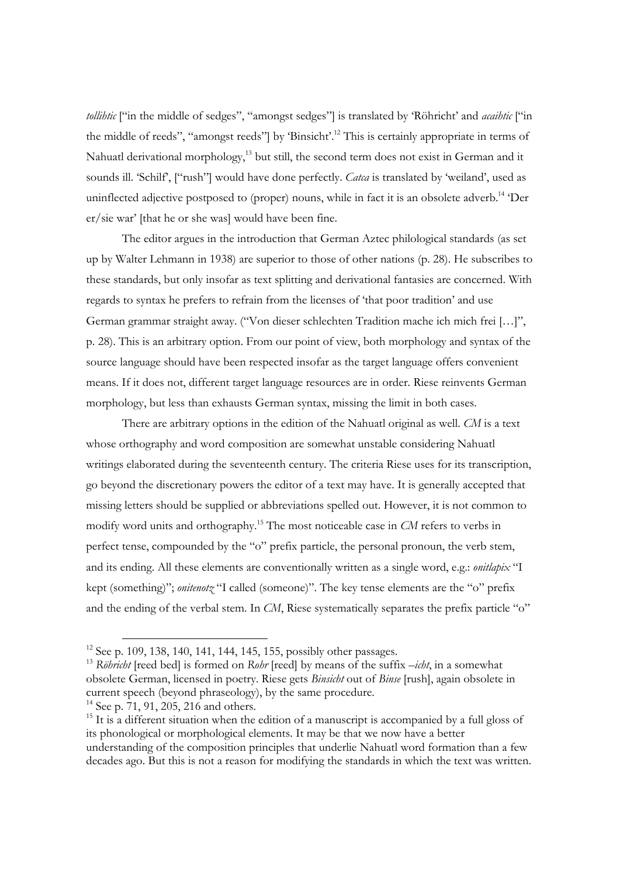*tollihtic* ["in the middle of sedges", "amongst sedges"] is translated by 'Röhricht' and *acaihtic* ["in the middle of reeds", "amongst reeds"] by 'Binsicht'.12 This is certainly appropriate in terms of Nahuatl derivational morphology,<sup>13</sup> but still, the second term does not exist in German and it sounds ill. 'Schilf', ["rush"] would have done perfectly. *Catca* is translated by 'weiland', used as uninflected adjective postposed to (proper) nouns, while in fact it is an obsolete adverb.<sup>14</sup> 'Der er/sie war' [that he or she was] would have been fine.

The editor argues in the introduction that German Aztec philological standards (as set up by Walter Lehmann in 1938) are superior to those of other nations (p. 28). He subscribes to these standards, but only insofar as text splitting and derivational fantasies are concerned. With regards to syntax he prefers to refrain from the licenses of 'that poor tradition' and use German grammar straight away. ("Von dieser schlechten Tradition mache ich mich frei […]", p. 28). This is an arbitrary option. From our point of view, both morphology and syntax of the source language should have been respected insofar as the target language offers convenient means. If it does not, different target language resources are in order. Riese reinvents German morphology, but less than exhausts German syntax, missing the limit in both cases.

There are arbitrary options in the edition of the Nahuatl original as well. *CM* is a text whose orthography and word composition are somewhat unstable considering Nahuatl writings elaborated during the seventeenth century. The criteria Riese uses for its transcription, go beyond the discretionary powers the editor of a text may have. It is generally accepted that missing letters should be supplied or abbreviations spelled out. However, it is not common to modify word units and orthography.15 The most noticeable case in *CM* refers to verbs in perfect tense, compounded by the "o" prefix particle, the personal pronoun, the verb stem, and its ending. All these elements are conventionally written as a single word, e.g.: *onitlapix* "I kept (something)"; *onitenotz* "I called (someone)". The key tense elements are the "o" prefix and the ending of the verbal stem. In *CM*, Riese systematically separates the prefix particle "o"

<sup>&</sup>lt;sup>12</sup> See p. 109, 138, 140, 141, 144, 145, 155, possibly other passages.<br><sup>13</sup> *Röhricht* [reed bed] is formed on *Rohr* [reed] by means of the suffix *-icht*, in a somewhat obsolete German, licensed in poetry. Riese gets *Binsicht* out of *Binse* [rush], again obsolete in current speech (beyond phraseology), by the same procedure.

<sup>&</sup>lt;sup>14</sup> See p. 71, 91, 205, 216 and others.

 $15$  It is a different situation when the edition of a manuscript is accompanied by a full gloss of its phonological or morphological elements. It may be that we now have a better understanding of the composition principles that underlie Nahuatl word formation than a few decades ago. But this is not a reason for modifying the standards in which the text was written.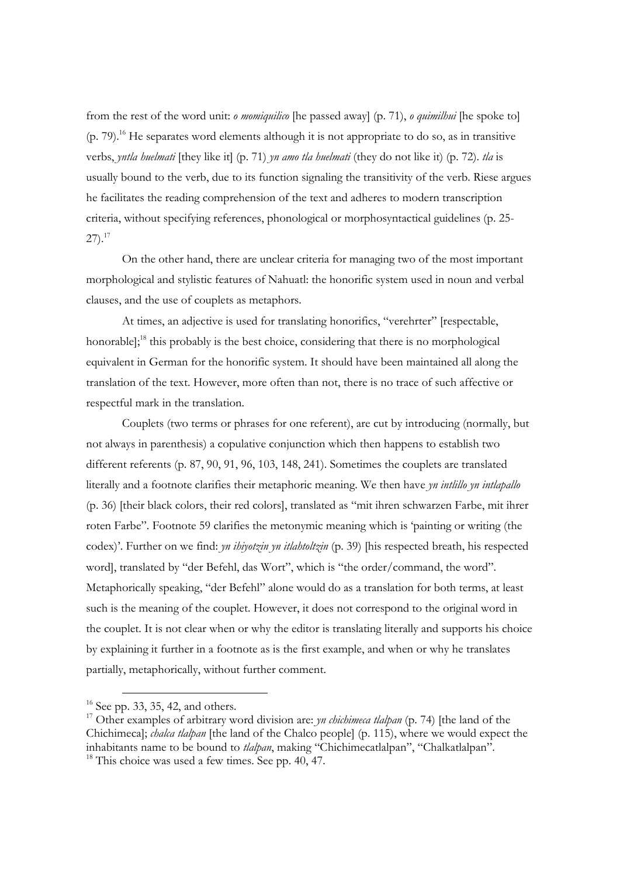from the rest of the word unit: *o momiquilico* [he passed away] (p. 71), *o quimilhui* [he spoke to]  $(p. 79)$ <sup>16</sup>. He separates word elements although it is not appropriate to do so, as in transitive verbs, *yntla huelmati* [they like it] (p. 71) *yn amo tla huelmati* (they do not like it) (p. 72). *tla* is usually bound to the verb, due to its function signaling the transitivity of the verb. Riese argues he facilitates the reading comprehension of the text and adheres to modern transcription criteria, without specifying references, phonological or morphosyntactical guidelines (p. 25-  $27).^{17}$ 

On the other hand, there are unclear criteria for managing two of the most important morphological and stylistic features of Nahuatl: the honorific system used in noun and verbal clauses, and the use of couplets as metaphors.

At times, an adjective is used for translating honorifics, "verehrter" [respectable, honorable];<sup>18</sup> this probably is the best choice, considering that there is no morphological equivalent in German for the honorific system. It should have been maintained all along the translation of the text. However, more often than not, there is no trace of such affective or respectful mark in the translation.

Couplets (two terms or phrases for one referent), are cut by introducing (normally, but not always in parenthesis) a copulative conjunction which then happens to establish two different referents (p. 87, 90, 91, 96, 103, 148, 241). Sometimes the couplets are translated literally and a footnote clarifies their metaphoric meaning. We then have *yn intlillo yn intlapallo* (p. 36) [their black colors, their red colors], translated as "mit ihren schwarzen Farbe, mit ihrer roten Farbe". Footnote 59 clarifies the metonymic meaning which is 'painting or writing (the codex)'. Further on we find: *yn ihiyotzin yn itlahtoltzin* (p. 39) [his respected breath, his respected word], translated by "der Befehl, das Wort", which is "the order/command, the word". Metaphorically speaking, "der Befehl" alone would do as a translation for both terms, at least such is the meaning of the couplet. However, it does not correspond to the original word in the couplet. It is not clear when or why the editor is translating literally and supports his choice by explaining it further in a footnote as is the first example, and when or why he translates partially, metaphorically, without further comment.

 $16$  See pp. 33, 35, 42, and others.

<sup>&</sup>lt;sup>17</sup> Other examples of arbitrary word division are: *yn chichimeca tlalpan* (p. 74) [the land of the Chichimeca]; *chalca tlalpan* [the land of the Chalco people] (p. 115), where we would expect the inhabitants name to be bound to *tlalpan*, making "Chichimecatlalpan", "Chalkatlalpan". 18 This choice was used a few times. See pp. 40, 47.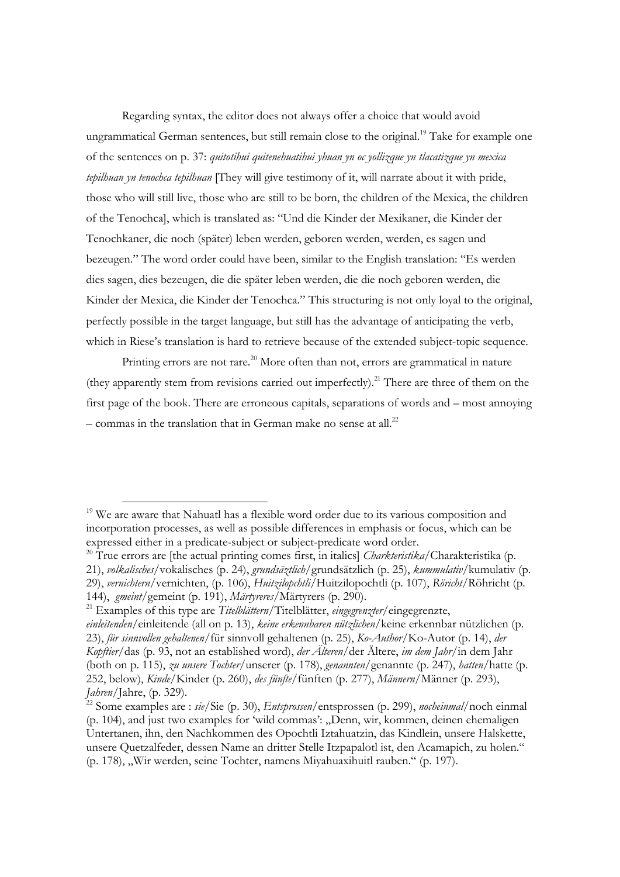Regarding syntax, the editor does not always offer a choice that would avoid ungrammatical German sentences, but still remain close to the original.<sup>19</sup> Take for example one of the sentences on p. 37: *quitotihui quitenehuatihui yhuan yn oc yollizque yn tlacatizque yn mexica tepilhuan yn tenochca tepilhuan* [They will give testimony of it, will narrate about it with pride, those who will still live, those who are still to be born, the children of the Mexica, the children of the Tenochca], which is translated as: "Und die Kinder der Mexikaner, die Kinder der Tenochkaner, die noch (später) leben werden, geboren werden, werden, es sagen und bezeugen." The word order could have been, similar to the English translation: "Es werden dies sagen, dies bezeugen, die die später leben werden, die die noch geboren werden, die Kinder der Mexica, die Kinder der Tenochca." This structuring is not only loyal to the original, perfectly possible in the target language, but still has the advantage of anticipating the verb, which in Riese's translation is hard to retrieve because of the extended subject-topic sequence.

Printing errors are not rare.<sup>20</sup> More often than not, errors are grammatical in nature (they apparently stem from revisions carried out imperfectly).<sup>21</sup> There are three of them on the first page of the book. There are erroneous capitals, separations of words and – most annoying  $-$  commas in the translation that in German make no sense at all.<sup>22</sup>

<sup>&</sup>lt;sup>19</sup> We are aware that Nahuatl has a flexible word order due to its various composition and incorporation processes, as well as possible differences in emphasis or focus, which can be expressed either in a predicate-subject or subject-predicate word order.

<sup>20</sup> True errors are [the actual printing comes first, in italics] *Charkteristika*/Charakteristika (p. 21), *volkalisches*/vokalisches (p. 24), *grundsäztlich*/grundsätzlich (p. 25), *kummulativ*/kumulativ (p. 29), *vernichtern*/vernichten, (p. 106), *Huitzilopchtli*/Huitzilopochtli (p. 107), *Röricht*/Röhricht (p. 144), *gmeint*/gemeint (p. 191), *Märtyreres*/Märtyrers (p. 290). 21 Examples of this type are *Titelblättern*/Titelblätter, *eingegrenzter*/eingegrenzte,

*einleitenden*/einleitende (all on p. 13), *keine erkennbaren nützlichen/*keine erkennbar nützlichen (p. 23), *für sinnvollen gehaltenen*/für sinnvoll gehaltenen (p. 25), *Ko-Author*/Ko-Autor (p. 14), *der Kopftier/*das (p. 93, not an established word), *der Älteren*/der Ältere, *im dem Jahr*/in dem Jahr (both on p. 115), *zu unsere Tochter*/unserer (p. 178), *genannten*/genannte (p. 247), *hatten*/hatte (p. 252, below), *Kinde*/Kinder (p. 260), *des fünfte*/fünften (p. 277), *Männern*/Männer (p. 293), *Jahren*/Jahre, (p. 329). 22 Some examples are : *sie*/Sie (p. 30), *Entsprossen*/entsprossen (p. 299), *nocheinmal*/noch einmal

<sup>(</sup>p. 104), and just two examples for 'wild commas': "Denn, wir, kommen, deinen ehemaligen Untertanen, ihn, den Nachkommen des Opochtli Iztahuatzin, das Kindlein, unsere Halskette, unsere Quetzalfeder, dessen Name an dritter Stelle Itzpapalotl ist, den Acamapich, zu holen." (p. 178), "Wir werden, seine Tochter, namens Miyahuaxihuitl rauben." (p. 197).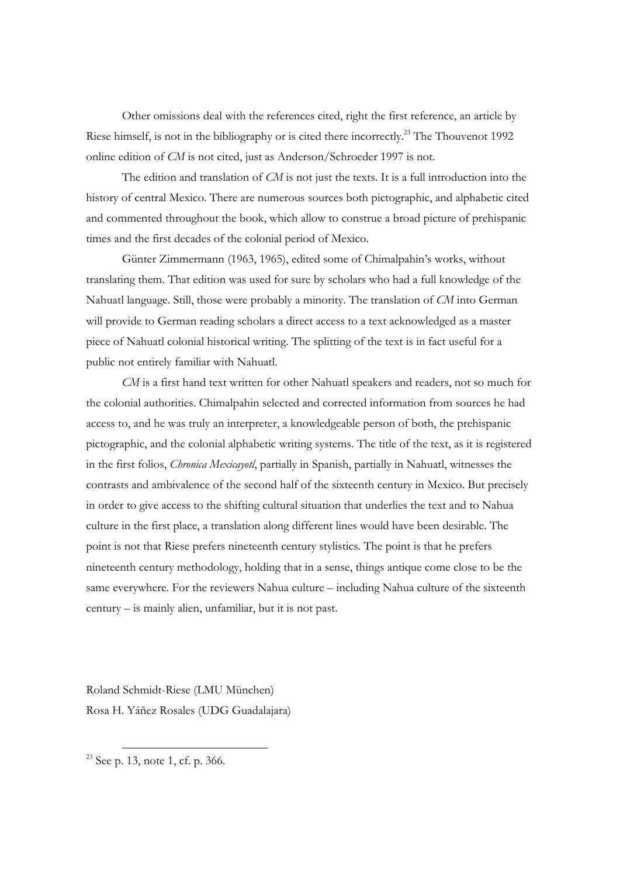Other omissions deal with the references cited, right the first reference, an article by Riese himself, is not in the bibliography or is cited there incorrectly.<sup>23</sup> The Thouvenot 1992 online edition of *CM* is not cited, just as Anderson/Schroeder 1997 is not.

The edition and translation of *CM* is not just the texts. It is a full introduction into the history of central Mexico. There are numerous sources both pictographic, and alphabetic cited and commented throughout the book, which allow to construe a broad picture of prehispanic times and the first decades of the colonial period of Mexico.

Günter Zimmermann (1963, 1965), edited some of Chimalpahin's works, without translating them. That edition was used for sure by scholars who had a full knowledge of the Nahuatl language. Still, those were probably a minority. The translation of *CM* into German will provide to German reading scholars a direct access to a text acknowledged as a master piece of Nahuatl colonial historical writing. The splitting of the text is in fact useful for a public not entirely familiar with Nahuatl.

*CM* is a first hand text written for other Nahuatl speakers and readers, not so much for the colonial authorities. Chimalpahin selected and corrected information from sources he had access to, and he was truly an interpreter, a knowledgeable person of both, the prehispanic pictographic, and the colonial alphabetic writing systems. The title of the text, as it is registered in the first folios, *Chronica Mexicayotl*, partially in Spanish, partially in Nahuatl, witnesses the contrasts and ambivalence of the second half of the sixteenth century in Mexico. But precisely in order to give access to the shifting cultural situation that underlies the text and to Nahua culture in the first place, a translation along different lines would have been desirable. The point is not that Riese prefers nineteenth century stylistics. The point is that he prefers nineteenth century methodology, holding that in a sense, things antique come close to be the same everywhere. For the reviewers Nahua culture – including Nahua culture of the sixteenth century – is mainly alien, unfamiliar, but it is not past.

Roland Schmidt-Riese (LMU München) Rosa H. Yáñez Rosales (UDG Guadalajara)

 $23$  See p. 13, note 1, cf. p. 366.